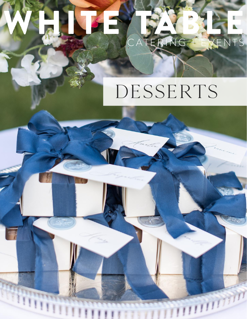# CATERING + EVENTS

### DESSERTS

im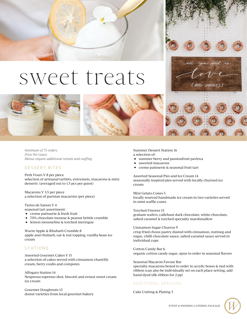### sweet treats



*minimum of 75 orders. Price Per Guest. Menus require additional rentals and staffing.*

#### DESSERT BITES

Petit Fours V 8 per piece selection of artisanal tartlets, entremets, macarons & mini desserts (averaged out to 1.5 pcs per guest)

Macarons V 3.5 per piece a selection of parisian macarons (per piece)

Tartes de Saison V 4

- seasonal tart assortment:
- creme patisserie & fresh fruit
- 70% chocolate mousse & peanut brittle crumble
- lemon mousseline & torched meringue

Warm Apple & Rhubarb Crumble 8 apple and rhubarb, oat & nut topping, vanilla bean ice cream

#### **STATIONS**

Assorted Gourmet Cakes V 15 a selection of cakes served with cinnamon chantilly cream, berry coulis and compotes

Affogato Station 14 Nespresso espresso shot, biscotti and ernest sweet cream ice cream

Gourmet Doughnuts 12 donut varieties from local gourmet bakery Summer Dessert Station 16 a selection of:

- summer berry and passionfruit pavlova
- assorted macarons
- creme patisserie & seasonal fruit tart

Assorted Seasonal Pies and Ice Cream 14 seasonally inspired pies served with locally churned ice cream

**DONUTS** 

Mini Gelato Cones 5 locally sourced handmade ice cream in two varieties served in mini waffle cones

Torched S'mores 15 graham wafers, callebaut dark chocolate, white chocolate, salted caramel & torched specialty marshmallow

Cinnamon Sugar Churros 9 crisp fried choux pastry dusted with cinnamon, nutmeg and sugar, chilli chocolate sauce, salted caramel sauce served in individual cups

Cotton Candy Bar 6 organic cotton candy sugar, spun to order in seasonal flavors

Seasonal Macaron Favour Bar specialty macarons boxed to order in acrylic boxes & tied with ribbon (can also be individually set on each place setting, add hand dyed silk ribbon for 2 pp)

#### A D D I T I O N A L SERVICES

Cake Cutting & Plating 3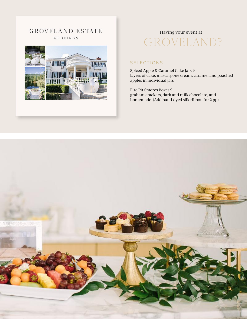**GROVELAND ESTATE** WEDDINGS



#### Having your event at

### GROVELAND?

#### S E L E C T I ON S

Spiced Apple & Caramel Cake Jars 9 layers of cake, mascarpone cream, caramel and poached apples in individual jars

Fire Pit Smores Boxes 9 graham crackers, dark and milk chocolate, and homemade (Add hand-dyed silk ribbon for 2 pp)